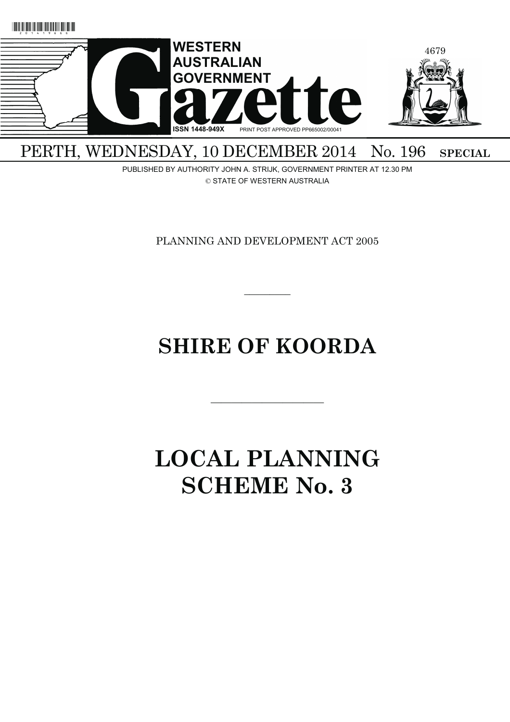

PERTH, WEDNESDAY, 10 DECEMBER 2014 No. 196 SPECIAL

PUBLISHED BY AUTHORITY JOHN A. STRIJK, GOVERNMENT PRINTER AT 12.30 PM © STATE OF WESTERN AUSTRALIA

PLANNING AND DEVELOPMENT ACT 2005

# **SHIRE OF KOORDA**

———————————

 $\overline{\phantom{a}}$   $\overline{\phantom{a}}$ 

# **LOCAL PLANNING SCHEME No. 3**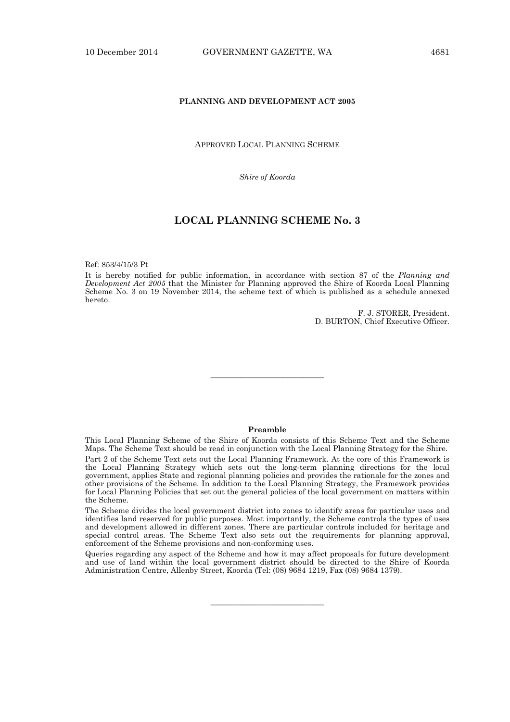## **PLANNING AND DEVELOPMENT ACT 2005**

## APPROVED LOCAL PLANNING SCHEME

*Shire of Koorda* 

# **LOCAL PLANNING SCHEME No. 3**

Ref: 853/4/15/3 Pt

It is hereby notified for public information, in accordance with section 87 of the *Planning and Development Act 2005* that the Minister for Planning approved the Shire of Koorda Local Planning Scheme No. 3 on 19 November 2014, the scheme text of which is published as a schedule annexed hereto.

> F. J. STORER, President. D. BURTON, Chief Executive Officer.

## **Preamble**

———————————

This Local Planning Scheme of the Shire of Koorda consists of this Scheme Text and the Scheme Maps. The Scheme Text should be read in conjunction with the Local Planning Strategy for the Shire. Part 2 of the Scheme Text sets out the Local Planning Framework. At the core of this Framework is the Local Planning Strategy which sets out the long-term planning directions for the local government, applies State and regional planning policies and provides the rationale for the zones and other provisions of the Scheme. In addition to the Local Planning Strategy, the Framework provides for Local Planning Policies that set out the general policies of the local government on matters within the Scheme.

The Scheme divides the local government district into zones to identify areas for particular uses and identifies land reserved for public purposes. Most importantly, the Scheme controls the types of uses and development allowed in different zones. There are particular controls included for heritage and special control areas. The Scheme Text also sets out the requirements for planning approval, enforcement of the Scheme provisions and non-conforming uses.

Queries regarding any aspect of the Scheme and how it may affect proposals for future development and use of land within the local government district should be directed to the Shire of Koorda Administration Centre, Allenby Street, Koorda (Tel: (08) 9684 1219, Fax (08) 9684 1379).

———————————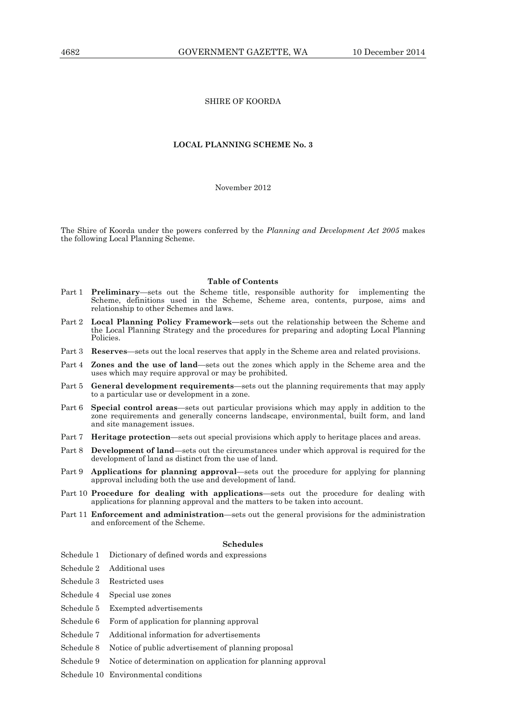# SHIRE OF KOORDA

## **LOCAL PLANNING SCHEME No. 3**

#### November 2012

The Shire of Koorda under the powers conferred by the *Planning and Development Act 2005* makes the following Local Planning Scheme.

#### **Table of Contents**

- Part 1 **Preliminary**—sets out the Scheme title, responsible authority for implementing the Scheme, definitions used in the Scheme, Scheme area, contents, purpose, aims and relationship to other Schemes and laws.
- Part 2 **Local Planning Policy Framework—**sets out the relationship between the Scheme and the Local Planning Strategy and the procedures for preparing and adopting Local Planning Policies.
- Part 3 **Reserves**—sets out the local reserves that apply in the Scheme area and related provisions.
- Part 4 **Zones and the use of land**—sets out the zones which apply in the Scheme area and the uses which may require approval or may be prohibited.
- Part 5 **General development requirements**—sets out the planning requirements that may apply to a particular use or development in a zone.
- Part 6 **Special control areas**—sets out particular provisions which may apply in addition to the zone requirements and generally concerns landscape, environmental, built form, and land and site management issues.
- Part 7 **Heritage protection**—sets out special provisions which apply to heritage places and areas.
- Part 8 **Development of land**—sets out the circumstances under which approval is required for the development of land as distinct from the use of land.
- Part 9 **Applications for planning approval**—sets out the procedure for applying for planning approval including both the use and development of land.
- Part 10 **Procedure for dealing with applications**—sets out the procedure for dealing with applications for planning approval and the matters to be taken into account.
- Part 11 **Enforcement and administration**—sets out the general provisions for the administration and enforcement of the Scheme.

# **Schedules**

- Schedule 1 Dictionary of defined words and expressions
- Schedule 2 Additional uses
- Schedule 3 Restricted uses
- Schedule 4 Special use zones
- Schedule 5 Exempted advertisements
- Schedule 6 Form of application for planning approval
- Schedule 7 Additional information for advertisements
- Schedule 8 Notice of public advertisement of planning proposal
- Schedule 9 Notice of determination on application for planning approval
- Schedule 10 Environmental conditions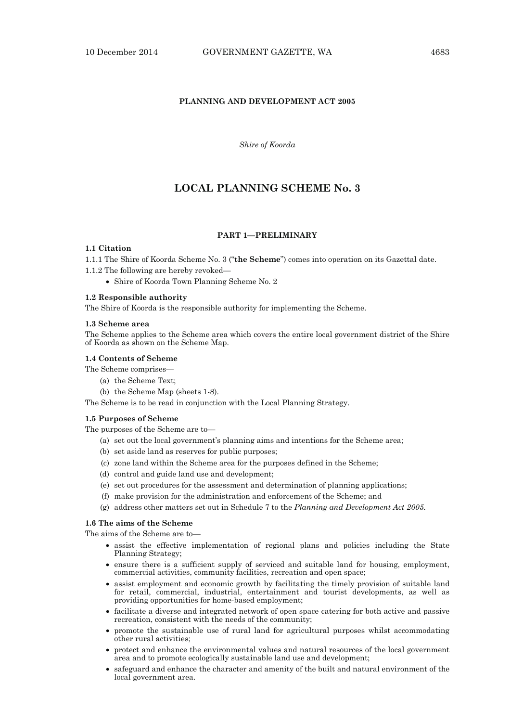# **PLANNING AND DEVELOPMENT ACT 2005**

*Shire of Koorda* 

# **LOCAL PLANNING SCHEME No. 3**

### **PART 1—PRELIMINARY**

# **1.1 Citation**

1.1.1 The Shire of Koorda Scheme No. 3 ("**the Scheme**") comes into operation on its Gazettal date.

- 1.1.2 The following are hereby revoked—
	- Shire of Koorda Town Planning Scheme No. 2

#### **1.2 Responsible authority**

The Shire of Koorda is the responsible authority for implementing the Scheme.

#### **1.3 Scheme area**

The Scheme applies to the Scheme area which covers the entire local government district of the Shire of Koorda as shown on the Scheme Map.

#### **1.4 Contents of Scheme**

- The Scheme comprises—
	- (a) the Scheme Text;
	- (b) the Scheme Map (sheets 1-8).

The Scheme is to be read in conjunction with the Local Planning Strategy.

## **1.5 Purposes of Scheme**

The purposes of the Scheme are to—

- (a) set out the local government's planning aims and intentions for the Scheme area;
- (b) set aside land as reserves for public purposes;
- (c) zone land within the Scheme area for the purposes defined in the Scheme;
- (d) control and guide land use and development;
- (e) set out procedures for the assessment and determination of planning applications;
- (f) make provision for the administration and enforcement of the Scheme; and
- (g) address other matters set out in Schedule 7 to the *Planning and Development Act 2005.*

## **1.6 The aims of the Scheme**

The aims of the Scheme are to—

- assist the effective implementation of regional plans and policies including the State Planning Strategy;
- ensure there is a sufficient supply of serviced and suitable land for housing, employment, commercial activities, community facilities, recreation and open space;
- assist employment and economic growth by facilitating the timely provision of suitable land for retail, commercial, industrial, entertainment and tourist developments, as well as providing opportunities for home-based employment;
- facilitate a diverse and integrated network of open space catering for both active and passive recreation, consistent with the needs of the community;
- promote the sustainable use of rural land for agricultural purposes whilst accommodating other rural activities;
- protect and enhance the environmental values and natural resources of the local government area and to promote ecologically sustainable land use and development;
- safeguard and enhance the character and amenity of the built and natural environment of the local government area.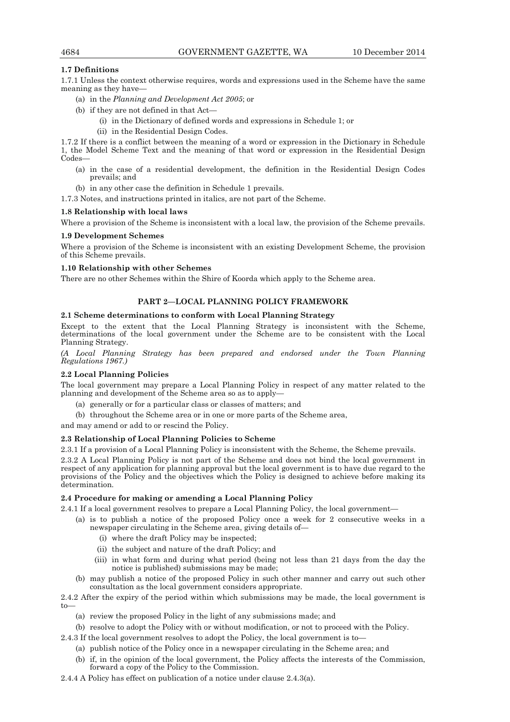# **1.7 Definitions**

1.7.1 Unless the context otherwise requires, words and expressions used in the Scheme have the same meaning as they have—

- (a) in the *Planning and Development Act 2005*; or
- (b) if they are not defined in that Act—
	- (i) in the Dictionary of defined words and expressions in Schedule 1; or
	- (ii) in the Residential Design Codes.

1.7.2 If there is a conflict between the meaning of a word or expression in the Dictionary in Schedule 1, the Model Scheme Text and the meaning of that word or expression in the Residential Design Codes—

- (a) in the case of a residential development, the definition in the Residential Design Codes prevails; and
- (b) in any other case the definition in Schedule 1 prevails.

1.7.3 Notes, and instructions printed in italics, are not part of the Scheme.

## **1.8 Relationship with local laws**

Where a provision of the Scheme is inconsistent with a local law, the provision of the Scheme prevails.

## **1.9 Development Schemes**

Where a provision of the Scheme is inconsistent with an existing Development Scheme, the provision of this Scheme prevails.

#### **1.10 Relationship with other Schemes**

There are no other Schemes within the Shire of Koorda which apply to the Scheme area.

# **PART 2—LOCAL PLANNING POLICY FRAMEWORK**

# **2.1 Scheme determinations to conform with Local Planning Strategy**

Except to the extent that the Local Planning Strategy is inconsistent with the Scheme, determinations of the local government under the Scheme are to be consistent with the Local Planning Strategy.

*(A Local Planning Strategy has been prepared and endorsed under the Town Planning Regulations 1967.)* 

#### **2.2 Local Planning Policies**

The local government may prepare a Local Planning Policy in respect of any matter related to the planning and development of the Scheme area so as to apply—

- (a) generally or for a particular class or classes of matters; and
- (b) throughout the Scheme area or in one or more parts of the Scheme area,

and may amend or add to or rescind the Policy.

## **2.3 Relationship of Local Planning Policies to Scheme**

2.3.1 If a provision of a Local Planning Policy is inconsistent with the Scheme, the Scheme prevails.

2.3.2 A Local Planning Policy is not part of the Scheme and does not bind the local government in respect of any application for planning approval but the local government is to have due regard to the provisions of the Policy and the objectives which the Policy is designed to achieve before making its determination.

## **2.4 Procedure for making or amending a Local Planning Policy**

2.4.1 If a local government resolves to prepare a Local Planning Policy, the local government—

- (a) is to publish a notice of the proposed Policy once a week for 2 consecutive weeks in a newspaper circulating in the Scheme area, giving details of—
	- (i) where the draft Policy may be inspected;
	- (ii) the subject and nature of the draft Policy; and
	- (iii) in what form and during what period (being not less than 21 days from the day the notice is published) submissions may be made;
- (b) may publish a notice of the proposed Policy in such other manner and carry out such other consultation as the local government considers appropriate.

2.4.2 After the expiry of the period within which submissions may be made, the local government is to—

- (a) review the proposed Policy in the light of any submissions made; and
- (b) resolve to adopt the Policy with or without modification, or not to proceed with the Policy.
- 2.4.3 If the local government resolves to adopt the Policy, the local government is to—
	- (a) publish notice of the Policy once in a newspaper circulating in the Scheme area; and
	- (b) if, in the opinion of the local government, the Policy affects the interests of the Commission, forward a copy of the Policy to the Commission.
- 2.4.4 A Policy has effect on publication of a notice under clause 2.4.3(a).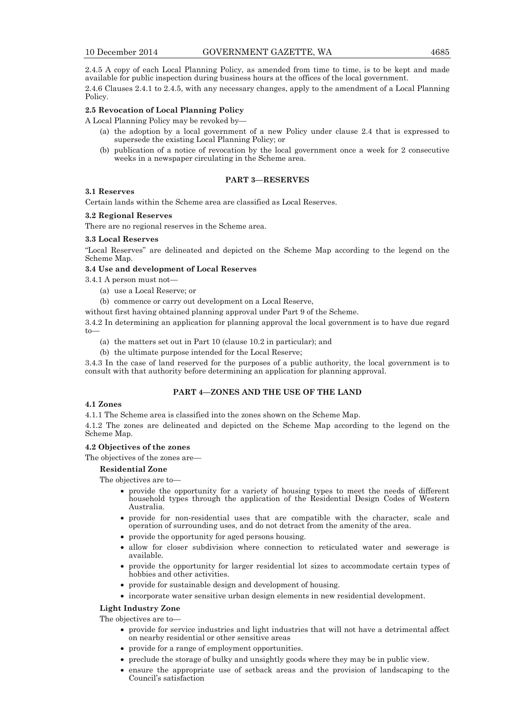2.4.5 A copy of each Local Planning Policy, as amended from time to time, is to be kept and made available for public inspection during business hours at the offices of the local government.

2.4.6 Clauses 2.4.1 to 2.4.5, with any necessary changes, apply to the amendment of a Local Planning Policy.

## **2.5 Revocation of Local Planning Policy**

A Local Planning Policy may be revoked by—

- (a) the adoption by a local government of a new Policy under clause 2.4 that is expressed to supersede the existing Local Planning Policy; or
- (b) publication of a notice of revocation by the local government once a week for 2 consecutive weeks in a newspaper circulating in the Scheme area.

#### **PART 3—RESERVES**

#### **3.1 Reserves**

Certain lands within the Scheme area are classified as Local Reserves.

## **3.2 Regional Reserves**

There are no regional reserves in the Scheme area.

## **3.3 Local Reserves**

"Local Reserves" are delineated and depicted on the Scheme Map according to the legend on the Scheme Map.

# **3.4 Use and development of Local Reserves**

3.4.1 A person must not—

- (a) use a Local Reserve; or
- (b) commence or carry out development on a Local Reserve,

without first having obtained planning approval under Part 9 of the Scheme.

3.4.2 In determining an application for planning approval the local government is to have due regard to—

- (a) the matters set out in Part 10 (clause 10.2 in particular); and
- (b) the ultimate purpose intended for the Local Reserve;

3.4.3 In the case of land reserved for the purposes of a public authority, the local government is to consult with that authority before determining an application for planning approval.

# **PART 4—ZONES AND THE USE OF THE LAND**

## **4.1 Zones**

4.1.1 The Scheme area is classified into the zones shown on the Scheme Map.

4.1.2 The zones are delineated and depicted on the Scheme Map according to the legend on the Scheme Map.

#### **4.2 Objectives of the zones**

The objectives of the zones are—

#### **Residential Zone**

The objectives are to—

- provide the opportunity for a variety of housing types to meet the needs of different household types through the application of the Residential Design Codes of Western Australia.
- provide for non-residential uses that are compatible with the character, scale and operation of surrounding uses, and do not detract from the amenity of the area.
- provide the opportunity for aged persons housing.
- allow for closer subdivision where connection to reticulated water and sewerage is available.
- provide the opportunity for larger residential lot sizes to accommodate certain types of hobbies and other activities.
- provide for sustainable design and development of housing.
- incorporate water sensitive urban design elements in new residential development.

#### **Light Industry Zone**

The objectives are to—

- provide for service industries and light industries that will not have a detrimental affect on nearby residential or other sensitive areas
- provide for a range of employment opportunities.
- preclude the storage of bulky and unsightly goods where they may be in public view.
- ensure the appropriate use of setback areas and the provision of landscaping to the Council's satisfaction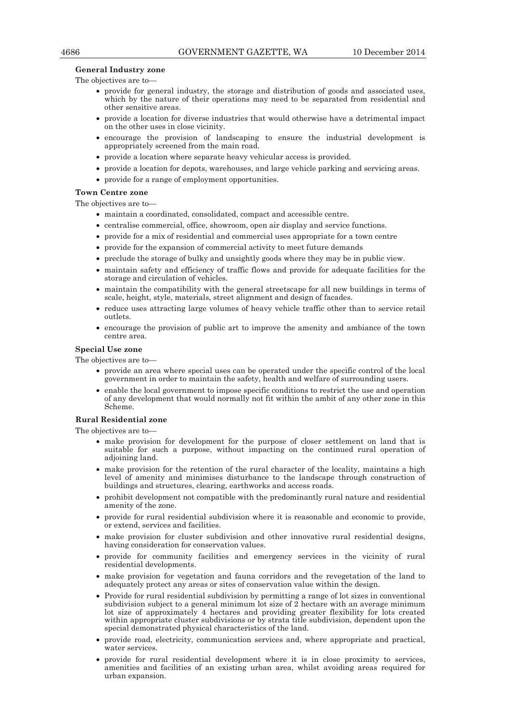#### **General Industry zone**

The objectives are to—

- provide for general industry, the storage and distribution of goods and associated uses, which by the nature of their operations may need to be separated from residential and other sensitive areas.
- provide a location for diverse industries that would otherwise have a detrimental impact on the other uses in close vicinity.
- encourage the provision of landscaping to ensure the industrial development is appropriately screened from the main road.
- provide a location where separate heavy vehicular access is provided.
- provide a location for depots, warehouses, and large vehicle parking and servicing areas.
- provide for a range of employment opportunities.

#### **Town Centre zone**

The objectives are to—

- maintain a coordinated, consolidated, compact and accessible centre.
- centralise commercial, office, showroom, open air display and service functions.
- provide for a mix of residential and commercial uses appropriate for a town centre
- provide for the expansion of commercial activity to meet future demands
- preclude the storage of bulky and unsightly goods where they may be in public view.
- maintain safety and efficiency of traffic flows and provide for adequate facilities for the storage and circulation of vehicles.
- maintain the compatibility with the general streetscape for all new buildings in terms of scale, height, style, materials, street alignment and design of facades.
- reduce uses attracting large volumes of heavy vehicle traffic other than to service retail outlets.
- encourage the provision of public art to improve the amenity and ambiance of the town centre area.

## **Special Use zone**

The objectives are to—

- provide an area where special uses can be operated under the specific control of the local government in order to maintain the safety, health and welfare of surrounding users.
- enable the local government to impose specific conditions to restrict the use and operation of any development that would normally not fit within the ambit of any other zone in this Scheme.

# **Rural Residential zone**

The objectives are to—

- make provision for development for the purpose of closer settlement on land that is suitable for such a purpose, without impacting on the continued rural operation of adjoining land.
- make provision for the retention of the rural character of the locality, maintains a high level of amenity and minimises disturbance to the landscape through construction of buildings and structures, clearing, earthworks and access roads.
- prohibit development not compatible with the predominantly rural nature and residential amenity of the zone.
- provide for rural residential subdivision where it is reasonable and economic to provide, or extend, services and facilities.
- make provision for cluster subdivision and other innovative rural residential designs, having consideration for conservation values.
- provide for community facilities and emergency services in the vicinity of rural residential developments.
- make provision for vegetation and fauna corridors and the revegetation of the land to adequately protect any areas or sites of conservation value within the design.
- Provide for rural residential subdivision by permitting a range of lot sizes in conventional subdivision subject to a general minimum lot size of  $\tilde{2}$  hectare with an average minimum lot size of approximately 4 hectares and providing greater flexibility for lots created within appropriate cluster subdivisions or by strata title subdivision, dependent upon the special demonstrated physical characteristics of the land.
- provide road, electricity, communication services and, where appropriate and practical, water services.
- provide for rural residential development where it is in close proximity to services, amenities and facilities of an existing urban area, whilst avoiding areas required for urban expansion.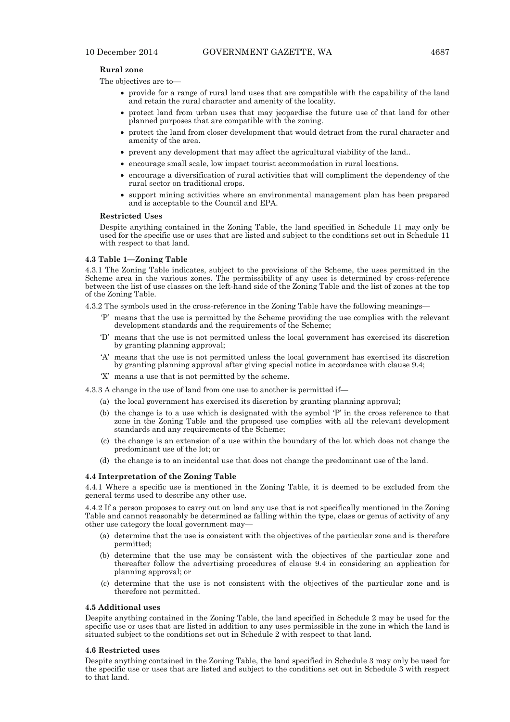#### **Rural zone**

The objectives are to—

- provide for a range of rural land uses that are compatible with the capability of the land and retain the rural character and amenity of the locality.
- protect land from urban uses that may jeopardise the future use of that land for other planned purposes that are compatible with the zoning.
- protect the land from closer development that would detract from the rural character and amenity of the area.
- prevent any development that may affect the agricultural viability of the land..
- encourage small scale, low impact tourist accommodation in rural locations.
- encourage a diversification of rural activities that will compliment the dependency of the rural sector on traditional crops.
- support mining activities where an environmental management plan has been prepared and is acceptable to the Council and EPA.

#### **Restricted Uses**

Despite anything contained in the Zoning Table, the land specified in Schedule 11 may only be used for the specific use or uses that are listed and subject to the conditions set out in Schedule 11 with respect to that land.

#### **4.3 Table 1—Zoning Table**

4.3.1 The Zoning Table indicates, subject to the provisions of the Scheme, the uses permitted in the Scheme area in the various zones. The permissibility of any uses is determined by cross-reference between the list of use classes on the left-hand side of the Zoning Table and the list of zones at the top of the Zoning Table.

4.3.2 The symbols used in the cross-reference in the Zoning Table have the following meanings—

- 'P' means that the use is permitted by the Scheme providing the use complies with the relevant development standards and the requirements of the Scheme;
- 'D' means that the use is not permitted unless the local government has exercised its discretion by granting planning approval;
- 'A' means that the use is not permitted unless the local government has exercised its discretion by granting planning approval after giving special notice in accordance with clause 9.4;
- 'X' means a use that is not permitted by the scheme.
- 4.3.3 A change in the use of land from one use to another is permitted if—
	- (a) the local government has exercised its discretion by granting planning approval;
	- (b) the change is to a use which is designated with the symbol 'P' in the cross reference to that zone in the Zoning Table and the proposed use complies with all the relevant development standards and any requirements of the Scheme;
	- (c) the change is an extension of a use within the boundary of the lot which does not change the predominant use of the lot; or
	- (d) the change is to an incidental use that does not change the predominant use of the land.

#### **4.4 Interpretation of the Zoning Table**

4.4.1 Where a specific use is mentioned in the Zoning Table, it is deemed to be excluded from the general terms used to describe any other use.

4.4.2 If a person proposes to carry out on land any use that is not specifically mentioned in the Zoning Table and cannot reasonably be determined as falling within the type, class or genus of activity of any other use category the local government may—

- (a) determine that the use is consistent with the objectives of the particular zone and is therefore permitted;
- (b) determine that the use may be consistent with the objectives of the particular zone and thereafter follow the advertising procedures of clause 9.4 in considering an application for planning approval; or
- (c) determine that the use is not consistent with the objectives of the particular zone and is therefore not permitted.

#### **4.5 Additional uses**

Despite anything contained in the Zoning Table, the land specified in Schedule 2 may be used for the specific use or uses that are listed in addition to any uses permissible in the zone in which the land is situated subject to the conditions set out in Schedule 2 with respect to that land.

#### **4.6 Restricted uses**

Despite anything contained in the Zoning Table, the land specified in Schedule 3 may only be used for the specific use or uses that are listed and subject to the conditions set out in Schedule 3 with respect to that land.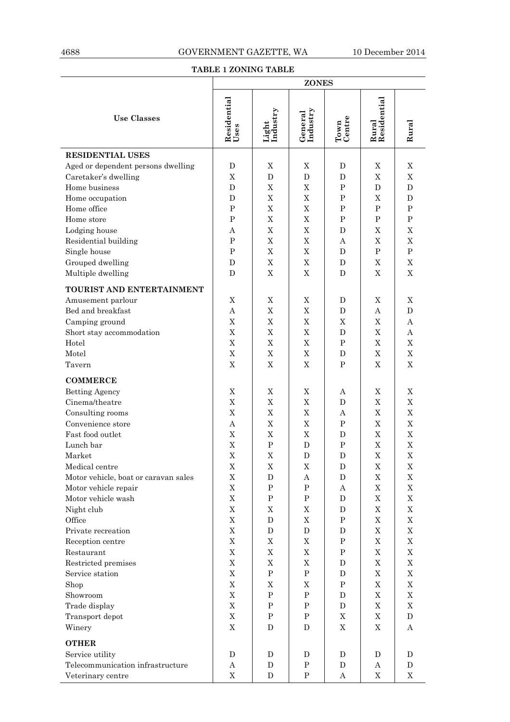# **TABLE 1 ZONING TABLE**

|                                      | <b>ZONES</b>        |                   |                     |                |                      |                           |
|--------------------------------------|---------------------|-------------------|---------------------|----------------|----------------------|---------------------------|
| <b>Use Classes</b>                   | Residential<br>Uses | Light<br>Industry | General<br>Industry | Town<br>Centre | Rural<br>Residential | Rural                     |
| <b>RESIDENTIAL USES</b>              |                     |                   |                     |                |                      |                           |
| Aged or dependent persons dwelling   | D                   | $\mathbf X$       | $\mathbf X$         | D              | $\mathbf X$          | $\mathbf X$               |
| Caretaker's dwelling                 | X                   | $\mathbf{D}$      | D                   | D              | $\mathbf X$          | $\mathbf X$               |
| Home business                        | $\mathbf D$         | $\mathbf X$       | $\mathbf X$         | ${\bf P}$      | $\mathbf D$          | $\mathbf D$               |
| Home occupation                      | D                   | X                 | $\mathbf X$         | ${\bf P}$      | $\mathbf X$          | $\mathbf{D}$              |
| Home office                          | $\mathbf{P}$        | $\mathbf X$       | $\mathbf X$         | ${\bf P}$      | P                    | P                         |
| Home store                           | $\, {\bf P}$        | X                 | $\mathbf X$         | $\mathbf P$    | $\mathbf P$          | $\, {\bf P}$              |
| Lodging house                        | Α                   | X                 | $\mathbf X$         | D              | $\mathbf X$          | $\mathbf X$               |
| Residential building                 | $\mathbf P$         | $\mathbf X$       | $\mathbf X$         | А              | X                    | $\mathbf X$               |
| Single house                         | ${\bf P}$           | $\mathbf X$       | $\mathbf X$         | D              | $\mathbf P$          | $\, {\bf P}$              |
| Grouped dwelling                     | D                   | $\mathbf X$       | $\mathbf X$         | D              | X                    | $\mathbf X$               |
| Multiple dwelling                    | D                   | X                 | $\mathbf X$         | D              | X                    | $\mathbf X$               |
|                                      |                     |                   |                     |                |                      |                           |
| TOURIST AND ENTERTAINMENT            |                     |                   |                     |                |                      |                           |
| Amusement parlour                    | X                   | $\mathbf X$       | $\mathbf X$         | D              | $\mathbf X$          | $\mathbf X$               |
| Bed and breakfast                    | A                   | $\mathbf X$       | $\mathbf X$         | $\mathbf D$    | A                    | $\mathbf D$               |
| Camping ground                       | $\mathbf X$         | $\mathbf X$       | $\mathbf X$         | X              | $\mathbf X$          | A                         |
| Short stay accommodation             | X                   | $\mathbf X$       | $\mathbf X$         | D              | $\mathbf X$          | A                         |
| Hotel                                | $\mathbf X$         | X                 | $\mathbf X$         | $\mathbf P$    | X                    | $\mathbf X$               |
| Motel                                | $\mathbf X$         | X                 | $\mathbf X$         | D              | $\mathbf X$          | $\mathbf X$               |
| Tavern                               | X                   | $\mathbf X$       | $\mathbf X$         | $\mathbf P$    | $\mathbf X$          | $\boldsymbol{\mathrm{X}}$ |
| <b>COMMERCE</b>                      |                     |                   |                     |                |                      |                           |
| <b>Betting Agency</b>                | X                   | X                 | X                   | А              | X                    | X                         |
| Cinema/theatre                       | $\mathbf X$         | X                 | $\mathbf X$         | D              | $\mathbf X$          | $\mathbf X$               |
| Consulting rooms                     | X                   | $\mathbf X$       | $\mathbf X$         | Α              | $\mathbf X$          | $\mathbf X$               |
| Convenience store                    | A                   | $\mathbf X$       | $\mathbf X$         | ${\bf P}$      | X                    | $\mathbf X$               |
| Fast food outlet                     | $\mathbf X$         | $\mathbf X$       | $\mathbf X$         | D              | $\mathbf X$          | $\mathbf X$               |
| Lunch bar                            | $\mathbf X$         | $\mathbf{P}$      | $\mathbf D$         | ${\bf P}$      | $\mathbf X$          | $\rm X$                   |
| Market                               | $\mathbf X$         | $\mathbf X$       | D                   | D              | $\mathbf X$          | $\overline{X}$            |
| Medical centre                       | $\mathbf X$         | X                 | $\mathbf X$         | D              | X                    | Χ                         |
| Motor vehicle, boat or caravan sales | X                   | D                 | A                   | D              | X                    | X                         |
| Motor vehicle repair                 | X                   | $\mathbf P$       | $\mathbf P$         | A              | X                    | $\mathbf X$               |
| Motor vehicle wash                   | $\mathbf X$         | P                 | $\mathbf P$         | D              | $\mathbf X$          | $\mathbf X$               |
| Night club                           | X                   | X                 | X                   | $\mathbf D$    | X                    | X                         |
| Office                               | X                   | D                 | X                   | $\mathbf P$    | X                    | $\mathbf X$               |
| Private recreation                   | $\mathbf X$         | D                 | D                   | D              | X                    | $\mathbf X$               |
| Reception centre                     | $\mathbf X$         | $\mathbf X$       | $\mathbf X$         | ${\bf P}$      | $\mathbf X$          | X                         |
| Restaurant                           | $\mathbf X$         | $\mathbf X$       | $\mathbf X$         | $\, {\bf P}$   | $\mathbf X$          | $\mathbf X$               |
| Restricted premises                  | $\mathbf X$         | $\mathbf X$       | $\mathbf X$         | D              | $\mathbf X$          | $\mathbf X$               |
| Service station                      | $\mathbf X$         | $\, {\bf P}$      | $\mathbf P$         | D              | X                    | $\mathbf X$               |
| Shop                                 | X                   | X                 | X                   | $\, {\bf P}$   | $\mathbf X$          | $\mathbf X$               |
| Showroom                             | $\mathbf X$         | $\, {\bf P}$      | $\mathbf P$         | D              | X                    | $\mathbf X$               |
| Trade display                        | $\mathbf X$         | P                 | $\mathbf P$         | D              | X                    | $\mathbf X$               |
| Transport depot                      | X                   | $\mathbf P$       | $\, {\bf P}$        | X              | $\mathbf X$          | D                         |
| Winery                               | $\mathbf X$         | D                 | D                   | X              | $\mathbf X$          | A                         |
|                                      |                     |                   |                     |                |                      |                           |
| <b>OTHER</b>                         |                     |                   |                     |                |                      |                           |
| Service utility                      | D                   | D                 | D                   | D              | D                    | D                         |
| Telecommunication infrastructure     | Α                   | D                 | $\mathbf P$         | D              | A                    | D                         |
| Veterinary centre                    | $\mathbf X$         | D                 | $\mathbf P$         | A              | X                    | X                         |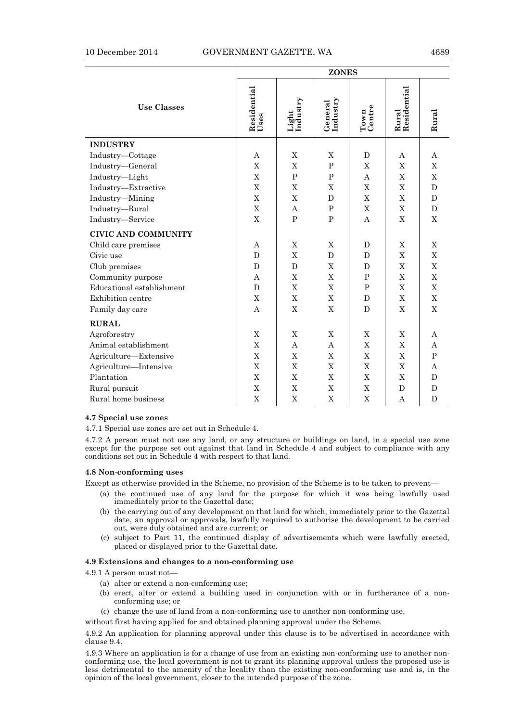|  |  | × |  |
|--|--|---|--|
|--|--|---|--|

|                            | <b>ZONES</b>        |                   |                           |                |                      |              |
|----------------------------|---------------------|-------------------|---------------------------|----------------|----------------------|--------------|
| <b>Use Classes</b>         | Residential<br>Uses | Light<br>Industry | General<br>Industry       | Town<br>Centre | Rural<br>Residential | Rural        |
| <b>INDUSTRY</b>            |                     |                   |                           |                |                      |              |
| Industry-Cottage           | A                   | X                 | X                         | D              | А                    | A            |
| Industry-General           | X                   | $\mathbf X$       | $\mathbf P$               | X              | X                    | $\mathbf X$  |
| Industry-Light             | X                   | P                 | P                         | A              | X                    | X            |
| Industry-Extractive        | X                   | $\mathbf X$       | $\boldsymbol{\mathrm{X}}$ | X              | X                    | $\mathbf{D}$ |
| Industry-Mining            | X                   | $\mathbf X$       | D                         | $\mathbf X$    | $\mathbf{X}$         | D            |
| Industry-Rural             | $\mathbf X$         | A                 | $\mathbf P$               | $\mathbf X$    | $\mathbf X$          | D            |
| Industry-Service           | $\mathbf X$         | $\mathbf{P}$      | ${\bf P}$                 | A              | X                    | X            |
| <b>CIVIC AND COMMUNITY</b> |                     |                   |                           |                |                      |              |
| Child care premises        | А                   | $\mathbf X$       | X                         | D              | $\mathbf{X}$         | X            |
| Civic use                  | D                   | X                 | D                         | D              | X                    | X            |
| Club premises              | D                   | $\mathbf D$       | $\mathbf X$               | D              | $\mathbf X$          | $\mathbf X$  |
| Community purpose          | A                   | X                 | $\boldsymbol{\mathrm{X}}$ | P              | X                    | X            |
| Educational establishment  | D                   | $\mathbf X$       | $\mathbf X$               | $\mathbf{P}$   | X                    | X            |
| Exhibition centre          | X                   | X                 | $\boldsymbol{\mathrm{X}}$ | D              | X                    | X            |
| Family day care            | A                   | $\mathbf X$       | $\mathbf X$               | $\mathbf{D}$   | X                    | $\mathbf X$  |
| <b>RURAL</b>               |                     |                   |                           |                |                      |              |
| Agroforestry               | X                   | X                 | X                         | X              | X                    | A            |
| Animal establishment       | X                   | $\mathsf{A}$      | А                         | X              | X                    | A            |
| Agriculture-Extensive      | $\mathbf X$         | $\mathbf X$       | $\mathbf X$               | X              | X                    | P            |
| Agriculture-Intensive      | X                   | $\mathbf X$       | $\boldsymbol{\mathrm{X}}$ | X              | $\mathbf{X}$         | A            |
| Plantation                 | X                   | $\mathbf{X}$      | $\boldsymbol{\mathrm{X}}$ | X              | X                    | D            |
| Rural pursuit              | $\mathbf X$         | $\mathbf X$       | $\mathbf X$               | $\mathbf X$    | D                    | D            |
| Rural home business        | $\overline{X}$      | $\mathbf X$       | $\mathbf X$               | X              | A                    | D            |

#### **4.7 Special use zones**

4.7.1 Special use zones are set out in Schedule 4.

4.7.2 A person must not use any land, or any structure or buildings on land, in a special use zone except for the purpose set out against that land in Schedule 4 and subject to compliance with any conditions set out in Schedule 4 with respect to that land.

#### **4.8 Non-conforming uses**

Except as otherwise provided in the Scheme, no provision of the Scheme is to be taken to prevent—

- (a) the continued use of any land for the purpose for which it was being lawfully used immediately prior to the Gazettal date;
- (b) the carrying out of any development on that land for which, immediately prior to the Gazettal date, an approval or approvals, lawfully required to authorise the development to be carried out, were duly obtained and are current; or
- (c) subject to Part 11, the continued display of advertisements which were lawfully erected, placed or displayed prior to the Gazettal date.

#### **4.9 Extensions and changes to a non-conforming use**

4.9.1 A person must not—

- (a) alter or extend a non-conforming use;
- (b) erect, alter or extend a building used in conjunction with or in furtherance of a nonconforming use; or
- (c) change the use of land from a non-conforming use to another non-conforming use,

without first having applied for and obtained planning approval under the Scheme.

4.9.2 An application for planning approval under this clause is to be advertised in accordance with clause 9.4.

4.9.3 Where an application is for a change of use from an existing non-conforming use to another nonconforming use, the local government is not to grant its planning approval unless the proposed use is less detrimental to the amenity of the locality than the existing non-conforming use and is, in the opinion of the local government, closer to the intended purpose of the zone.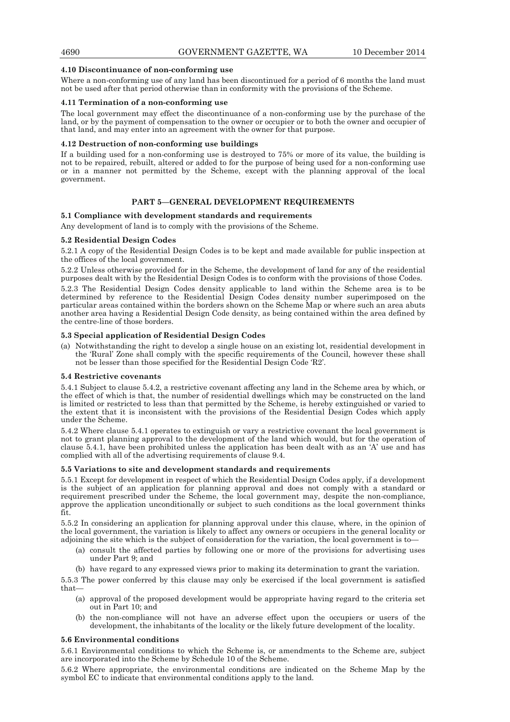## **4.10 Discontinuance of non-conforming use**

Where a non-conforming use of any land has been discontinued for a period of 6 months the land must not be used after that period otherwise than in conformity with the provisions of the Scheme.

## **4.11 Termination of a non-conforming use**

The local government may effect the discontinuance of a non-conforming use by the purchase of the land, or by the payment of compensation to the owner or occupier or to both the owner and occupier of that land, and may enter into an agreement with the owner for that purpose.

#### **4.12 Destruction of non-conforming use buildings**

If a building used for a non-conforming use is destroyed to 75% or more of its value, the building is not to be repaired, rebuilt, altered or added to for the purpose of being used for a non-conforming use or in a manner not permitted by the Scheme, except with the planning approval of the local government.

## **PART 5—GENERAL DEVELOPMENT REQUIREMENTS**

## **5.1 Compliance with development standards and requirements**

Any development of land is to comply with the provisions of the Scheme.

## **5.2 Residential Design Codes**

5.2.1 A copy of the Residential Design Codes is to be kept and made available for public inspection at the offices of the local government.

5.2.2 Unless otherwise provided for in the Scheme, the development of land for any of the residential purposes dealt with by the Residential Design Codes is to conform with the provisions of those Codes.

5.2.3 The Residential Design Codes density applicable to land within the Scheme area is to be determined by reference to the Residential Design Codes density number superimposed on the particular areas contained within the borders shown on the Scheme Map or where such an area abuts another area having a Residential Design Code density, as being contained within the area defined by the centre-line of those borders.

## **5.3 Special application of Residential Design Codes**

(a) Notwithstanding the right to develop a single house on an existing lot, residential development in the 'Rural' Zone shall comply with the specific requirements of the Council, however these shall not be lesser than those specified for the Residential Design Code 'R2'.

#### **5.4 Restrictive covenants**

5.4.1 Subject to clause 5.4.2, a restrictive covenant affecting any land in the Scheme area by which, or the effect of which is that, the number of residential dwellings which may be constructed on the land is limited or restricted to less than that permitted by the Scheme, is hereby extinguished or varied to the extent that it is inconsistent with the provisions of the Residential Design Codes which apply under the Scheme.

5.4.2 Where clause 5.4.1 operates to extinguish or vary a restrictive covenant the local government is not to grant planning approval to the development of the land which would, but for the operation of clause 5.4.1, have been prohibited unless the application has been dealt with as an 'A' use and has complied with all of the advertising requirements of clause 9.4.

#### **5.5 Variations to site and development standards and requirements**

5.5.1 Except for development in respect of which the Residential Design Codes apply, if a development is the subject of an application for planning approval and does not comply with a standard or requirement prescribed under the Scheme, the local government may, despite the non-compliance, approve the application unconditionally or subject to such conditions as the local government thinks fit.

5.5.2 In considering an application for planning approval under this clause, where, in the opinion of the local government, the variation is likely to affect any owners or occupiers in the general locality or adjoining the site which is the subject of consideration for the variation, the local government is to—

- (a) consult the affected parties by following one or more of the provisions for advertising uses under Part 9; and
- (b) have regard to any expressed views prior to making its determination to grant the variation.

5.5.3 The power conferred by this clause may only be exercised if the local government is satisfied that—

- (a) approval of the proposed development would be appropriate having regard to the criteria set out in Part 10; and
- (b) the non-compliance will not have an adverse effect upon the occupiers or users of the development, the inhabitants of the locality or the likely future development of the locality.

#### **5.6 Environmental conditions**

5.6.1 Environmental conditions to which the Scheme is, or amendments to the Scheme are, subject are incorporated into the Scheme by Schedule 10 of the Scheme.

5.6.2 Where appropriate, the environmental conditions are indicated on the Scheme Map by the symbol EC to indicate that environmental conditions apply to the land.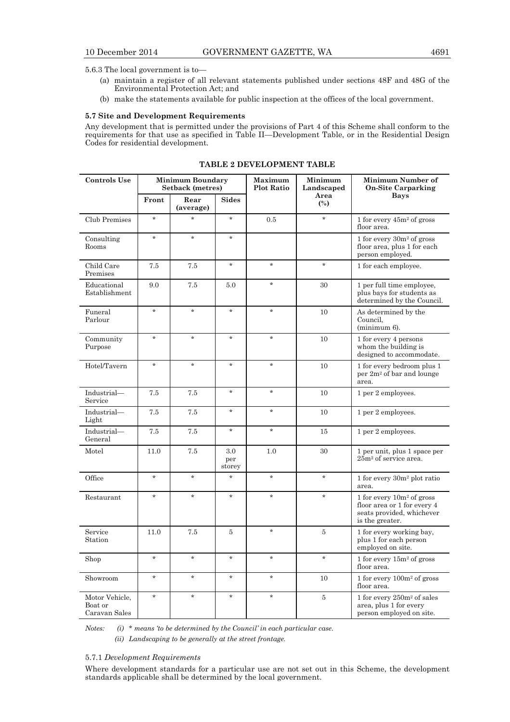5.6.3 The local government is to—

- (a) maintain a register of all relevant statements published under sections 48F and 48G of the Environmental Protection Act; and
- (b) make the statements available for public inspection at the offices of the local government.

## **5.7 Site and Development Requirements**

Any development that is permitted under the provisions of Part 4 of this Scheme shall conform to the requirements for that use as specified in Table II—Development Table, or in the Residential Design Codes for residential development.

| <b>Controls Use</b>                        |         | <b>Minimum Boundary</b><br><b>Setback</b> (metres) |                      | Maximum<br><b>Plot Ratio</b> | Minimum<br>Landscaped  | Minimum Number of<br><b>On-Site Carparking</b>                                                                |
|--------------------------------------------|---------|----------------------------------------------------|----------------------|------------------------------|------------------------|---------------------------------------------------------------------------------------------------------------|
|                                            | Front   | Rear<br>(average)                                  | <b>Sides</b>         |                              | Area<br>$\binom{0}{0}$ | Bays                                                                                                          |
| Club Premises                              | $\star$ | $\star$                                            | $\star$              | 0.5                          | $\star$                | 1 for every $45m^2$ of gross<br>floor area.                                                                   |
| Consulting<br>Rooms                        | $\star$ | $\star$                                            | $\star$              |                              |                        | 1 for every $30m^2$ of gross<br>floor area, plus 1 for each<br>person employed.                               |
| Child Care<br>Premises                     | 7.5     | 7.5                                                | $\star$              | $\star$                      | $\star$                | 1 for each employee.                                                                                          |
| Educational<br>Establishment               | 9.0     | 7.5                                                | 5.0                  | $\star$                      | 30                     | 1 per full time employee,<br>plus bays for students as<br>determined by the Council.                          |
| Funeral<br>Parlour                         | $\star$ | $\star$                                            | $\star$              | $\star$                      | 10                     | As determined by the<br>Council,<br>$(minimum 6)$ .                                                           |
| Community<br>Purpose                       | $\star$ | $\star$                                            | $\star$              | $\star$                      | 10                     | 1 for every 4 persons<br>whom the building is<br>designed to accommodate.                                     |
| Hotel/Tavern                               | $\star$ | $\star$                                            | $\star$              | $\star$                      | 10                     | 1 for every bedroom plus 1<br>per $2m^2$ of bar and lounge<br>area.                                           |
| Industrial-<br>Service                     | 7.5     | 7.5                                                | $\star$              | $\star$                      | 10                     | 1 per 2 employees.                                                                                            |
| Industrial-<br>Light                       | 7.5     | 7.5                                                | $\star$              | $\star$                      | 10                     | 1 per 2 employees.                                                                                            |
| Industrial-<br>General                     | 7.5     | 7.5                                                | $\star$              | $\star$                      | 15                     | 1 per 2 employees.                                                                                            |
| Motel                                      | 11.0    | 7.5                                                | 3.0<br>per<br>storey | 1.0                          | 30                     | 1 per unit, plus 1 space per<br>25m <sup>2</sup> of service area.                                             |
| Office                                     | $\star$ | $\star$                                            | $\star$              | $\star$                      | $\star$                | 1 for every $30m^2$ plot ratio<br>area.                                                                       |
| Restaurant                                 | $\star$ | $\star$                                            | $\star$              | $\star$                      | $\star$                | 1 for every $10m^2$ of gross<br>floor area or 1 for every $4$<br>seats provided, whichever<br>is the greater. |
| Service<br>Station                         | 11.0    | 7.5                                                | $\overline{5}$       | $\star$                      | $\bf 5$                | 1 for every working bay,<br>plus 1 for each person<br>employed on site.                                       |
| Shop                                       | $\star$ | $\star$                                            | $\star$              | $\star$                      | $\star$                | 1 for every $15m^2$ of gross<br>floor area.                                                                   |
| Showroom                                   | $\star$ | $\star$                                            | $\star$              | $\star$                      | 10                     | 1 for every $100m^2$ of gross<br>floor area.                                                                  |
| Motor Vehicle,<br>Boat or<br>Caravan Sales | $\star$ | $\star$                                            | $\star$              | $\star$                      | $\bf 5$                | 1 for every 250m <sup>2</sup> of sales<br>area, plus 1 for every<br>person employed on site.                  |

**TABLE 2 DEVELOPMENT TABLE** 

*Notes: (i) \* means 'to be determined by the Council' in each particular case. (ii) Landscaping to be generally at the street frontage.* 

## 5.7.1 *Development Requirements*

Where development standards for a particular use are not set out in this Scheme, the development standards applicable shall be determined by the local government.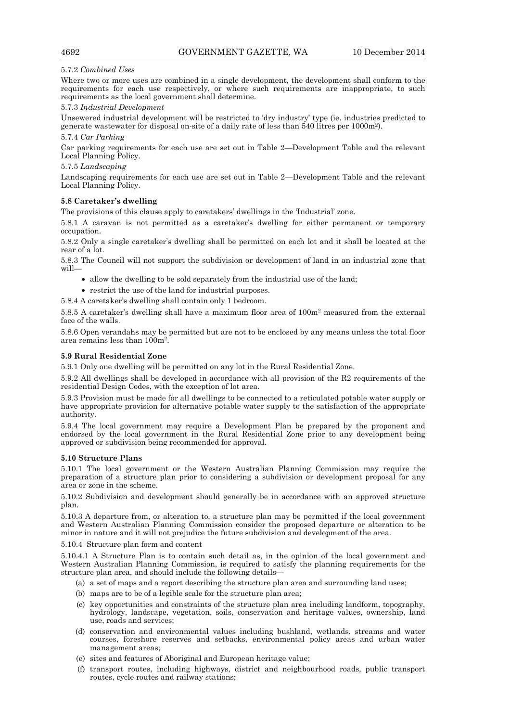# 5.7.2 *Combined Uses*

Where two or more uses are combined in a single development, the development shall conform to the requirements for each use respectively, or where such requirements are inappropriate, to such requirements as the local government shall determine.

## 5.7.3 *Industrial Development*

Unsewered industrial development will be restricted to 'dry industry' type (ie. industries predicted to generate wastewater for disposal on-site of a daily rate of less than 540 litres per 1000m2). 5.7.4 *Car Parking* 

## Car parking requirements for each use are set out in Table 2—Development Table and the relevant Local Planning Policy.

## 5.7.5 *Landscaping*

Landscaping requirements for each use are set out in Table 2—Development Table and the relevant Local Planning Policy.

# **5.8 Caretaker's dwelling**

The provisions of this clause apply to caretakers' dwellings in the 'Industrial' zone.

5.8.1 A caravan is not permitted as a caretaker's dwelling for either permanent or temporary occupation.

5.8.2 Only a single caretaker's dwelling shall be permitted on each lot and it shall be located at the rear of a lot.

5.8.3 The Council will not support the subdivision or development of land in an industrial zone that will—

- allow the dwelling to be sold separately from the industrial use of the land;
- restrict the use of the land for industrial purposes.
- 5.8.4 A caretaker's dwelling shall contain only 1 bedroom.

5.8.5 A caretaker's dwelling shall have a maximum floor area of 100m2 measured from the external face of the walls.

5.8.6 Open verandahs may be permitted but are not to be enclosed by any means unless the total floor area remains less than 100m2.

# **5.9 Rural Residential Zone**

5.9.1 Only one dwelling will be permitted on any lot in the Rural Residential Zone.

5.9.2 All dwellings shall be developed in accordance with all provision of the R2 requirements of the residential Design Codes, with the exception of lot area.

5.9.3 Provision must be made for all dwellings to be connected to a reticulated potable water supply or have appropriate provision for alternative potable water supply to the satisfaction of the appropriate authority.

5.9.4 The local government may require a Development Plan be prepared by the proponent and endorsed by the local government in the Rural Residential Zone prior to any development being approved or subdivision being recommended for approval.

## **5.10 Structure Plans**

5.10.1 The local government or the Western Australian Planning Commission may require the preparation of a structure plan prior to considering a subdivision or development proposal for any area or zone in the scheme.

5.10.2 Subdivision and development should generally be in accordance with an approved structure plan.

5.10.3 A departure from, or alteration to, a structure plan may be permitted if the local government and Western Australian Planning Commission consider the proposed departure or alteration to be minor in nature and it will not prejudice the future subdivision and development of the area.

#### 5.10.4 Structure plan form and content

5.10.4.1 A Structure Plan is to contain such detail as, in the opinion of the local government and Western Australian Planning Commission, is required to satisfy the planning requirements for the structure plan area, and should include the following details—

- (a) a set of maps and a report describing the structure plan area and surrounding land uses;
- (b) maps are to be of a legible scale for the structure plan area;
- (c) key opportunities and constraints of the structure plan area including landform, topography, hydrology, landscape, vegetation, soils, conservation and heritage values, ownership, land use, roads and services;
- (d) conservation and environmental values including bushland, wetlands, streams and water courses, foreshore reserves and setbacks, environmental policy areas and urban water management areas;
- (e) sites and features of Aboriginal and European heritage value;
- (f) transport routes, including highways, district and neighbourhood roads, public transport routes, cycle routes and railway stations;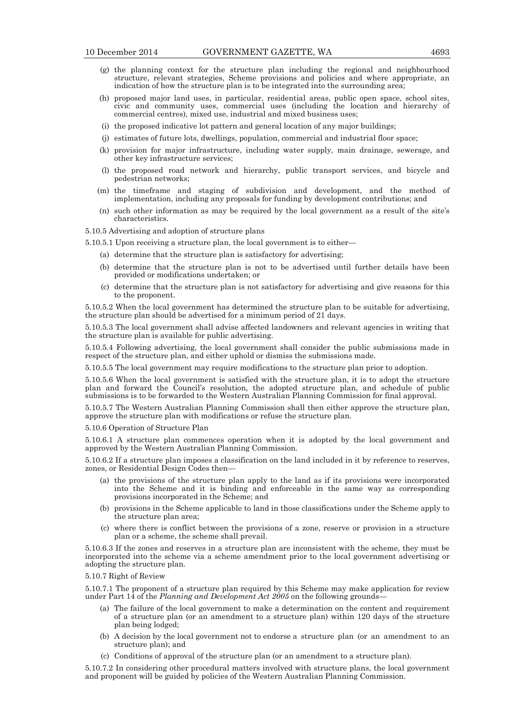- (g) the planning context for the structure plan including the regional and neighbourhood structure, relevant strategies, Scheme provisions and policies and where appropriate, an indication of how the structure plan is to be integrated into the surrounding area;
- (h) proposed major land uses, in particular, residential areas, public open space, school sites, civic and community uses, commercial uses (including the location and hierarchy of commercial centres), mixed use, industrial and mixed business uses;
	- (i) the proposed indicative lot pattern and general location of any major buildings;
	- (j) estimates of future lots, dwellings, population, commercial and industrial floor space;
	- (k) provision for major infrastructure, including water supply, main drainage, sewerage, and other key infrastructure services;
	- (l) the proposed road network and hierarchy, public transport services, and bicycle and pedestrian networks;
	- (m) the timeframe and staging of subdivision and development, and the method of implementation, including any proposals for funding by development contributions; and
	- (n) such other information as may be required by the local government as a result of the site's characteristics.

5.10.5 Advertising and adoption of structure plans

5.10.5.1 Upon receiving a structure plan, the local government is to either—

- (a) determine that the structure plan is satisfactory for advertising;
- (b) determine that the structure plan is not to be advertised until further details have been provided or modifications undertaken; or
- (c) determine that the structure plan is not satisfactory for advertising and give reasons for this to the proponent.

5.10.5.2 When the local government has determined the structure plan to be suitable for advertising, the structure plan should be advertised for a minimum period of  $21$  days.

5.10.5.3 The local government shall advise affected landowners and relevant agencies in writing that the structure plan is available for public advertising.

5.10.5.4 Following advertising, the local government shall consider the public submissions made in respect of the structure plan, and either uphold or dismiss the submissions made.

5.10.5.5 The local government may require modifications to the structure plan prior to adoption.

5.10.5.6 When the local government is satisfied with the structure plan, it is to adopt the structure plan and forward the Council's resolution, the adopted structure plan, and schedule of public submissions is to be forwarded to the Western Australian Planning Commission for final approval.

5.10.5.7 The Western Australian Planning Commission shall then either approve the structure plan, approve the structure plan with modifications or refuse the structure plan.

5.10.6 Operation of Structure Plan

5.10.6.1 A structure plan commences operation when it is adopted by the local government and approved by the Western Australian Planning Commission.

5.10.6.2 If a structure plan imposes a classification on the land included in it by reference to reserves, zones, or Residential Design Codes then—

- (a) the provisions of the structure plan apply to the land as if its provisions were incorporated into the Scheme and it is binding and enforceable in the same way as corresponding provisions incorporated in the Scheme; and
- (b) provisions in the Scheme applicable to land in those classifications under the Scheme apply to the structure plan area;
- (c) where there is conflict between the provisions of a zone, reserve or provision in a structure plan or a scheme, the scheme shall prevail.

5.10.6.3 If the zones and reserves in a structure plan are inconsistent with the scheme, they must be incorporated into the scheme via a scheme amendment prior to the local government advertising or adopting the structure plan.

#### 5.10.7 Right of Review

5.10.7.1 The proponent of a structure plan required by this Scheme may make application for review under Part 14 of the *Planning and Development Act 2005* on the following grounds—

- (a) The failure of the local government to make a determination on the content and requirement of a structure plan (or an amendment to a structure plan) within 120 days of the structure plan being lodged;
- (b) A decision by the local government not to endorse a structure plan (or an amendment to an structure plan); and
- (c) Conditions of approval of the structure plan (or an amendment to a structure plan).

5.10.7.2 In considering other procedural matters involved with structure plans, the local government and proponent will be guided by policies of the Western Australian Planning Commission.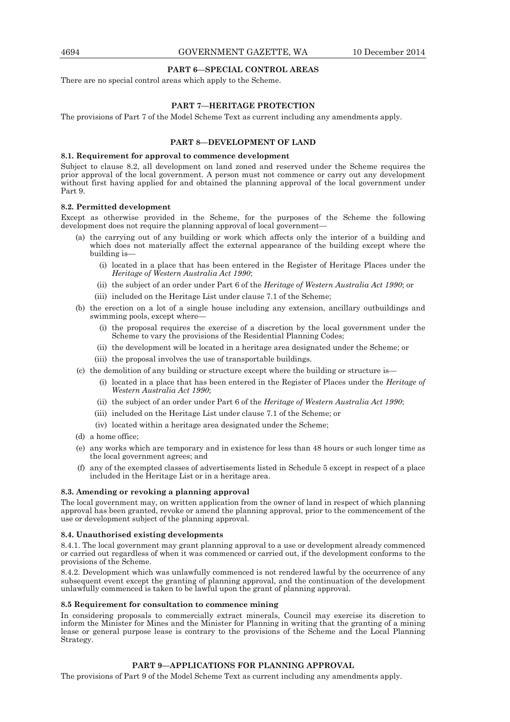#### **PART 6—SPECIAL CONTROL AREAS**

There are no special control areas which apply to the Scheme.

## **PART 7—HERITAGE PROTECTION**

The provisions of Part 7 of the Model Scheme Text as current including any amendments apply.

## **PART 8—DEVELOPMENT OF LAND**

#### **8.1. Requirement for approval to commence development**

Subject to clause 8.2, all development on land zoned and reserved under the Scheme requires the prior approval of the local government. A person must not commence or carry out any development without first having applied for and obtained the planning approval of the local government under Part 9.

#### **8.2. Permitted development**

Except as otherwise provided in the Scheme, for the purposes of the Scheme the following development does not require the planning approval of local government—

- (a) the carrying out of any building or work which affects only the interior of a building and which does not materially affect the external appearance of the building except where the building is—
- (i) located in a place that has been entered in the Register of Heritage Places under the *Heritage of Western Australia Act 1990*;
	- (ii) the subject of an order under Part 6 of the *Heritage of Western Australia Act 1990*; or
	- (iii) included on the Heritage List under clause 7.1 of the Scheme;
	- (b) the erection on a lot of a single house including any extension, ancillary outbuildings and swimming pools, except where—
		- (i) the proposal requires the exercise of a discretion by the local government under the Scheme to vary the provisions of the Residential Planning Codes;
		- (ii) the development will be located in a heritage area designated under the Scheme; or
		- (iii) the proposal involves the use of transportable buildings.
	- (c) the demolition of any building or structure except where the building or structure is—
		- (i) located in a place that has been entered in the Register of Places under the *Heritage of Western Australia Act 1990*;
		- (ii) the subject of an order under Part 6 of the *Heritage of Western Australia Act 1990*;
		- (iii) included on the Heritage List under clause 7.1 of the Scheme; or
		- (iv) located within a heritage area designated under the Scheme;
	- (d) a home office;
	- (e) any works which are temporary and in existence for less than 48 hours or such longer time as the local government agrees; and
	- (f) any of the exempted classes of advertisements listed in Schedule 5 except in respect of a place included in the Heritage List or in a heritage area.

#### **8.3. Amending or revoking a planning approval**

The local government may, on written application from the owner of land in respect of which planning approval has been granted, revoke or amend the planning approval, prior to the commencement of the use or development subject of the planning approval.

#### **8.4. Unauthorised existing developments**

8.4.1. The local government may grant planning approval to a use or development already commenced or carried out regardless of when it was commenced or carried out, if the development conforms to the provisions of the Scheme.

8.4.2. Development which was unlawfully commenced is not rendered lawful by the occurrence of any subsequent event except the granting of planning approval, and the continuation of the development unlawfully commenced is taken to be lawful upon the grant of planning approval.

#### **8.5 Requirement for consultation to commence mining**

In considering proposals to commercially extract minerals, Council may exercise its discretion to inform the Minister for Mines and the Minister for Planning in writing that the granting of a mining lease or general purpose lease is contrary to the provisions of the Scheme and the Local Planning Strategy.

# **PART 9—APPLICATIONS FOR PLANNING APPROVAL**

The provisions of Part 9 of the Model Scheme Text as current including any amendments apply.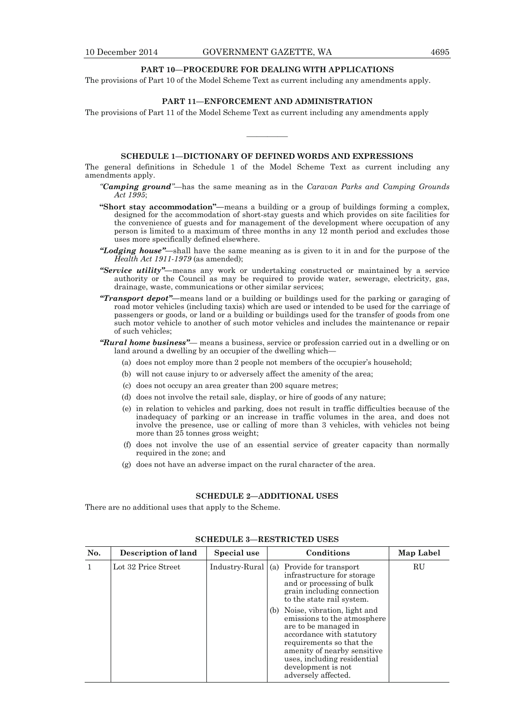### **PART 10—PROCEDURE FOR DEALING WITH APPLICATIONS**

The provisions of Part 10 of the Model Scheme Text as current including any amendments apply.

# **PART 11—ENFORCEMENT AND ADMINISTRATION**

The provisions of Part 11 of the Model Scheme Text as current including any amendments apply

## **SCHEDULE 1—DICTIONARY OF DEFINED WORDS AND EXPRESSIONS**

————

The general definitions in Schedule 1 of the Model Scheme Text as current including any amendments apply.

- *"Camping ground"—*has the same meaning as in the *Caravan Parks and Camping Grounds Act 1995*;
- **"Short stay accommodation"—**means a building or a group of buildings forming a complex, designed for the accommodation of short-stay guests and which provides on site facilities for the convenience of guests and for management of the development where occupation of any person is limited to a maximum of three months in any 12 month period and excludes those uses more specifically defined elsewhere.
- *"Lodging house"—*shall have the same meaning as is given to it in and for the purpose of the *Health Act 1911-1979* (as amended);
- *"Service utility"—*means any work or undertaking constructed or maintained by a service authority or the Council as may be required to provide water, sewerage, electricity, gas, drainage, waste, communications or other similar services;
- *"Transport depot"—*means land or a building or buildings used for the parking or garaging of road motor vehicles (including taxis) which are used or intended to be used for the carriage of passengers or goods, or land or a building or buildings used for the transfer of goods from one such motor vehicle to another of such motor vehicles and includes the maintenance or repair of such vehicles;
- *"Rural home business"—* means a business, service or profession carried out in a dwelling or on land around a dwelling by an occupier of the dwelling which-
	- (a) does not employ more than 2 people not members of the occupier's household;
	- (b) will not cause injury to or adversely affect the amenity of the area;
	- (c) does not occupy an area greater than 200 square metres;
	- (d) does not involve the retail sale, display, or hire of goods of any nature;
	- (e) in relation to vehicles and parking, does not result in traffic difficulties because of the inadequacy of parking or an increase in traffic volumes in the area, and does not involve the presence, use or calling of more than 3 vehicles, with vehicles not being more than 25 tonnes gross weight;
	- (f) does not involve the use of an essential service of greater capacity than normally required in the zone; and
	- (g) does not have an adverse impact on the rural character of the area.

## **SCHEDULE 2—ADDITIONAL USES**

There are no additional uses that apply to the Scheme.

| No. | Description of land | Special use          | Conditions                                                                                                                                                                                                                                                                                                                                                                                                   | Map Label |
|-----|---------------------|----------------------|--------------------------------------------------------------------------------------------------------------------------------------------------------------------------------------------------------------------------------------------------------------------------------------------------------------------------------------------------------------------------------------------------------------|-----------|
|     | Lot 32 Price Street | Industry-Rural $(a)$ | Provide for transport<br>infrastructure for storage<br>and or processing of bulk<br>grain including connection<br>to the state rail system.<br>Noise, vibration, light and<br>(b)<br>emissions to the atmosphere<br>are to be managed in<br>accordance with statutory<br>requirements so that the<br>amenity of nearby sensitive<br>uses, including residential<br>development is not<br>adversely affected. | RU        |

## **SCHEDULE 3—RESTRICTED USES**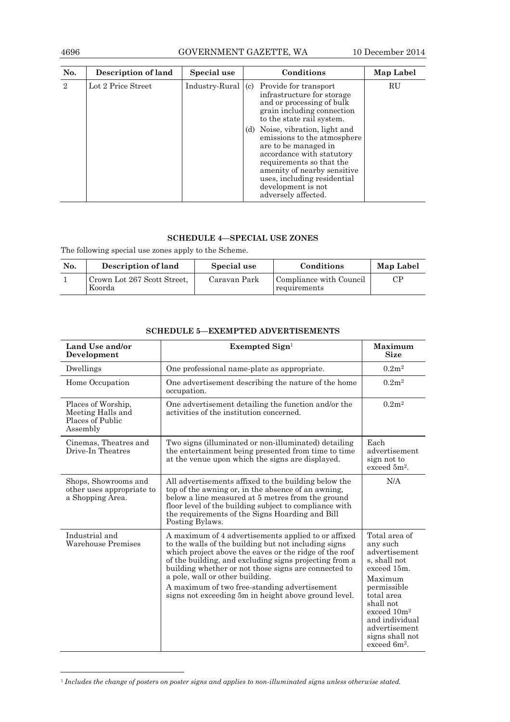# 4696 GOVERNMENT GAZETTE, WA 10 December 2014

| No. | Description of land | Special use          | Conditions                                                                                                                                                                                                                                                                                                                                                                                                   | Map Label |
|-----|---------------------|----------------------|--------------------------------------------------------------------------------------------------------------------------------------------------------------------------------------------------------------------------------------------------------------------------------------------------------------------------------------------------------------------------------------------------------------|-----------|
| 2   | Lot 2 Price Street  | $Industry-Rural (c)$ | Provide for transport<br>infrastructure for storage<br>and or processing of bulk<br>grain including connection<br>to the state rail system.<br>Noise, vibration, light and<br>(d)<br>emissions to the atmosphere<br>are to be managed in<br>accordance with statutory<br>requirements so that the<br>amenity of nearby sensitive<br>uses, including residential<br>development is not<br>adversely affected. | RU        |

# **SCHEDULE 4—SPECIAL USE ZONES**

The following special use zones apply to the Scheme.

| No. | Description of land                   | Special use  | Conditions                              | Map Label              |
|-----|---------------------------------------|--------------|-----------------------------------------|------------------------|
|     | Crown Lot 267 Scott Street,<br>Koorda | Caravan Park | Compliance with Council<br>requirements | $\mathbb{C}\mathrm{P}$ |

| Land Use and/or<br>Development                                          | Exempted $\operatorname{Sign}^1$                                                                                                                                                                                                                                                                                                                                                                                                   | Maximum<br><b>Size</b>                                                                                                                                                                                                                      |
|-------------------------------------------------------------------------|------------------------------------------------------------------------------------------------------------------------------------------------------------------------------------------------------------------------------------------------------------------------------------------------------------------------------------------------------------------------------------------------------------------------------------|---------------------------------------------------------------------------------------------------------------------------------------------------------------------------------------------------------------------------------------------|
| Dwellings                                                               | One professional name-plate as appropriate.                                                                                                                                                                                                                                                                                                                                                                                        | 0.2m <sup>2</sup>                                                                                                                                                                                                                           |
| Home Occupation                                                         | One advertisement describing the nature of the home<br>occupation.                                                                                                                                                                                                                                                                                                                                                                 | 0.2m <sup>2</sup>                                                                                                                                                                                                                           |
| Places of Worship,<br>Meeting Halls and<br>Places of Public<br>Assembly | One advertisement detailing the function and/or the<br>activities of the institution concerned.                                                                                                                                                                                                                                                                                                                                    | 0.2m <sup>2</sup>                                                                                                                                                                                                                           |
| Cinemas, Theatres and<br>Drive-In Theatres                              | Two signs (illuminated or non-illuminated) detailing<br>the entertainment being presented from time to time<br>at the venue upon which the signs are displayed.                                                                                                                                                                                                                                                                    | Each<br>advertisement<br>sign not to<br>exceed $5m^2$ .                                                                                                                                                                                     |
| Shops, Showrooms and<br>other uses appropriate to<br>a Shopping Area.   | All advertisements affixed to the building below the<br>top of the awning or, in the absence of an awning,<br>below a line measured at 5 metres from the ground<br>floor level of the building subject to compliance with<br>the requirements of the Signs Hoarding and Bill<br>Posting Bylaws.                                                                                                                                    | N/A                                                                                                                                                                                                                                         |
| Industrial and<br>Warehouse Premises                                    | A maximum of 4 advertisements applied to or affixed<br>to the walls of the building but not including signs<br>which project above the eaves or the ridge of the roof<br>of the building, and excluding signs projecting from a<br>building whether or not those signs are connected to<br>a pole, wall or other building.<br>A maximum of two free-standing advertisement<br>signs not exceeding 5m in height above ground level. | Total area of<br>any such<br>advertisement<br>s, shall not<br>exceed 15m.<br>Maximum<br>permissible<br>total area<br>shall not<br>exceed 10m <sup>2</sup><br>and individual<br>advertisement<br>signs shall not<br>exceed 6m <sup>2</sup> . |

# **SCHEDULE 5—EXEMPTED ADVERTISEMENTS**

 $\overline{a}$ 

<sup>1</sup> *Includes the change of posters on poster signs and applies to non-illuminated signs unless otherwise stated.*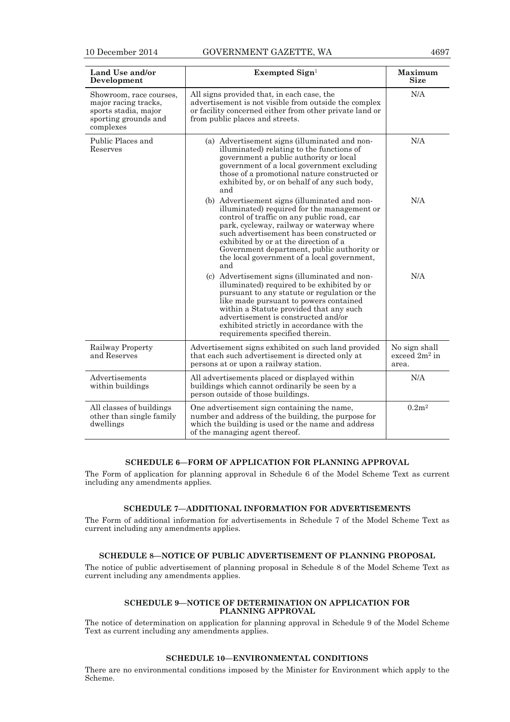| Land Use and/or<br>Development                                                                               | Exempted Sign1                                                                                                                                                                                                                                                                                                                                                                     | Maximum<br>Size                            |
|--------------------------------------------------------------------------------------------------------------|------------------------------------------------------------------------------------------------------------------------------------------------------------------------------------------------------------------------------------------------------------------------------------------------------------------------------------------------------------------------------------|--------------------------------------------|
| Showroom, race courses,<br>major racing tracks,<br>sports stadia, major<br>sporting grounds and<br>complexes | All signs provided that, in each case, the<br>advertisement is not visible from outside the complex<br>or facility concerned either from other private land or<br>from public places and streets.                                                                                                                                                                                  | N/A                                        |
| Public Places and<br>Reserves                                                                                | (a) Advertisement signs (illuminated and non-<br>illuminated) relating to the functions of<br>government a public authority or local<br>government of a local government excluding<br>those of a promotional nature constructed or<br>exhibited by, or on behalf of any such body,<br>and                                                                                          | N/A                                        |
|                                                                                                              | (b) Advertisement signs (illuminated and non-<br>illuminated) required for the management or<br>control of traffic on any public road, car<br>park, cycleway, railway or waterway where<br>such advertisement has been constructed or<br>exhibited by or at the direction of a<br>Government department, public authority or<br>the local government of a local government,<br>and | N/A                                        |
|                                                                                                              | (c) Advertisement signs (illuminated and non-<br>illuminated) required to be exhibited by or<br>pursuant to any statute or regulation or the<br>like made pursuant to powers contained<br>within a Statute provided that any such<br>advertisement is constructed and/or<br>exhibited strictly in accordance with the<br>requirements specified therein.                           | N/A                                        |
| Railway Property<br>and Reserves                                                                             | Advertisement signs exhibited on such land provided<br>that each such advertisement is directed only at<br>persons at or upon a railway station.                                                                                                                                                                                                                                   | No sign shall<br>exceed $2m^2$ in<br>area. |
| Advertisements<br>within buildings                                                                           | All advertisements placed or displayed within<br>buildings which cannot ordinarily be seen by a<br>person outside of those buildings.                                                                                                                                                                                                                                              | N/A                                        |
| All classes of buildings<br>other than single family<br>dwellings                                            | One advertisement sign containing the name,<br>number and address of the building, the purpose for<br>which the building is used or the name and address<br>of the managing agent thereof.                                                                                                                                                                                         | 0.2m <sup>2</sup>                          |

## **SCHEDULE 6—FORM OF APPLICATION FOR PLANNING APPROVAL**

The Form of application for planning approval in Schedule 6 of the Model Scheme Text as current including any amendments applies.

# **SCHEDULE 7—ADDITIONAL INFORMATION FOR ADVERTISEMENTS**

The Form of additional information for advertisements in Schedule 7 of the Model Scheme Text as current including any amendments applies.

# **SCHEDULE 8—NOTICE OF PUBLIC ADVERTISEMENT OF PLANNING PROPOSAL**

The notice of public advertisement of planning proposal in Schedule 8 of the Model Scheme Text as current including any amendments applies.

## **SCHEDULE 9—NOTICE OF DETERMINATION ON APPLICATION FOR PLANNING APPROVAL**

The notice of determination on application for planning approval in Schedule 9 of the Model Scheme Text as current including any amendments applies.

# **SCHEDULE 10—ENVIRONMENTAL CONDITIONS**

There are no environmental conditions imposed by the Minister for Environment which apply to the Scheme.